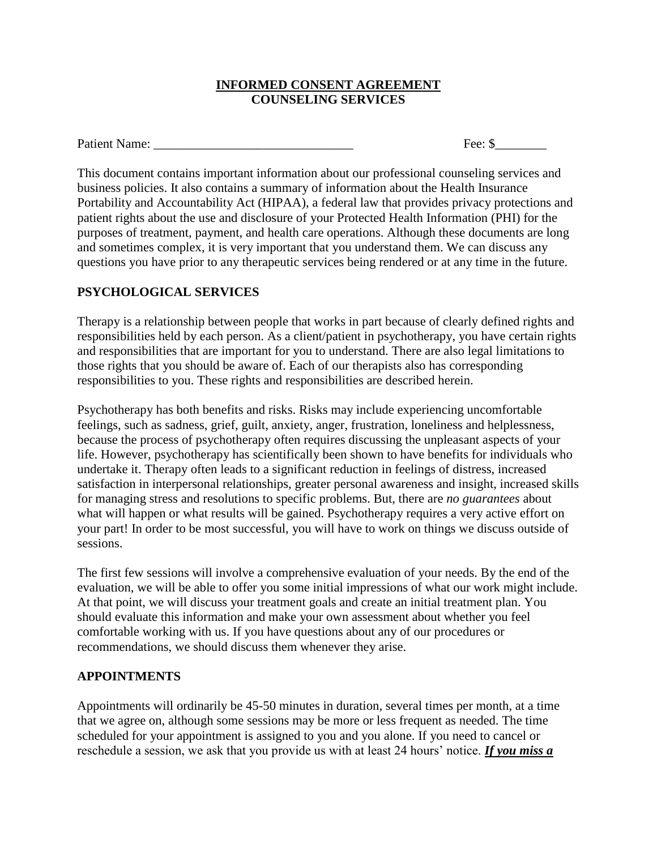## **INFORMED CONSENT AGREEMENT COUNSELING SERVICES**

Fee:  $\mathbb{S}$ 

This document contains important information about our professional counseling services and business policies. It also contains a summary of information about the Health Insurance Portability and Accountability Act (HIPAA), a federal law that provides privacy protections and patient rights about the use and disclosure of your Protected Health Information (PHI) for the purposes of treatment, payment, and health care operations. Although these documents are long and sometimes complex, it is very important that you understand them. We can discuss any questions you have prior to any therapeutic services being rendered or at any time in the future.

## **PSYCHOLOGICAL SERVICES**

Therapy is a relationship between people that works in part because of clearly defined rights and responsibilities held by each person. As a client/patient in psychotherapy, you have certain rights and responsibilities that are important for you to understand. There are also legal limitations to those rights that you should be aware of. Each of our therapists also has corresponding responsibilities to you. These rights and responsibilities are described herein.

Psychotherapy has both benefits and risks. Risks may include experiencing uncomfortable feelings, such as sadness, grief, guilt, anxiety, anger, frustration, loneliness and helplessness, because the process of psychotherapy often requires discussing the unpleasant aspects of your life. However, psychotherapy has scientifically been shown to have benefits for individuals who undertake it. Therapy often leads to a significant reduction in feelings of distress, increased satisfaction in interpersonal relationships, greater personal awareness and insight, increased skills for managing stress and resolutions to specific problems. But, there are *no guarantees* about what will happen or what results will be gained. Psychotherapy requires a very active effort on your part! In order to be most successful, you will have to work on things we discuss outside of sessions.

The first few sessions will involve a comprehensive evaluation of your needs. By the end of the evaluation, we will be able to offer you some initial impressions of what our work might include. At that point, we will discuss your treatment goals and create an initial treatment plan. You should evaluate this information and make your own assessment about whether you feel comfortable working with us. If you have questions about any of our procedures or recommendations, we should discuss them whenever they arise.

## **APPOINTMENTS**

Appointments will ordinarily be 45-50 minutes in duration, several times per month, at a time that we agree on, although some sessions may be more or less frequent as needed. The time scheduled for your appointment is assigned to you and you alone. If you need to cancel or reschedule a session, we ask that you provide us with at least 24 hours' notice. *If you miss a*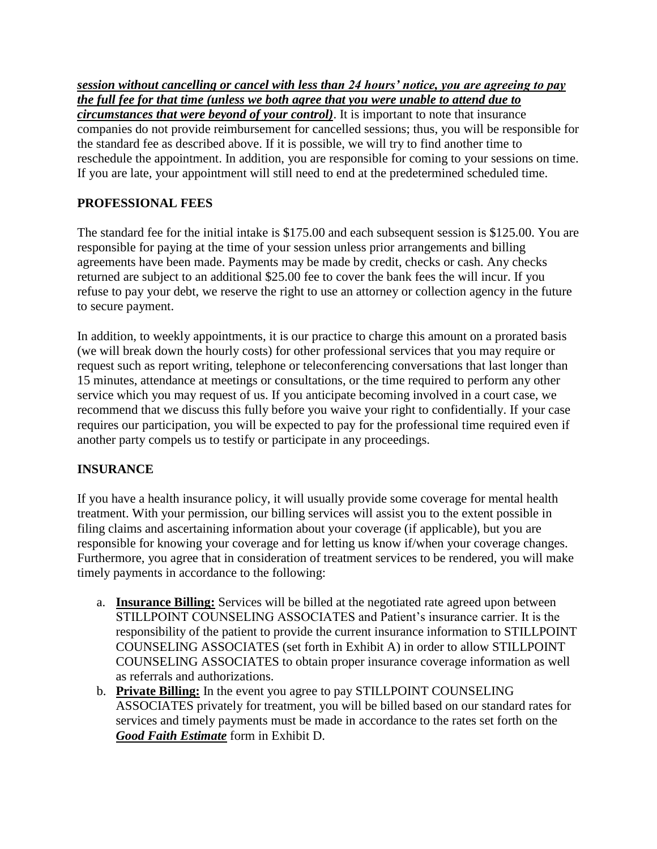*session without cancelling or cancel with less than 24 hours' notice, you are agreeing to pay the full fee for that time (unless we both agree that you were unable to attend due to circumstances that were beyond of your control)*. It is important to note that insurance companies do not provide reimbursement for cancelled sessions; thus, you will be responsible for the standard fee as described above. If it is possible, we will try to find another time to reschedule the appointment. In addition, you are responsible for coming to your sessions on time. If you are late, your appointment will still need to end at the predetermined scheduled time.

# **PROFESSIONAL FEES**

The standard fee for the initial intake is \$175.00 and each subsequent session is \$125.00. You are responsible for paying at the time of your session unless prior arrangements and billing agreements have been made. Payments may be made by credit, checks or cash. Any checks returned are subject to an additional \$25.00 fee to cover the bank fees the will incur. If you refuse to pay your debt, we reserve the right to use an attorney or collection agency in the future to secure payment.

In addition, to weekly appointments, it is our practice to charge this amount on a prorated basis (we will break down the hourly costs) for other professional services that you may require or request such as report writing, telephone or teleconferencing conversations that last longer than 15 minutes, attendance at meetings or consultations, or the time required to perform any other service which you may request of us. If you anticipate becoming involved in a court case, we recommend that we discuss this fully before you waive your right to confidentially. If your case requires our participation, you will be expected to pay for the professional time required even if another party compels us to testify or participate in any proceedings.

## **INSURANCE**

If you have a health insurance policy, it will usually provide some coverage for mental health treatment. With your permission, our billing services will assist you to the extent possible in filing claims and ascertaining information about your coverage (if applicable), but you are responsible for knowing your coverage and for letting us know if/when your coverage changes. Furthermore, you agree that in consideration of treatment services to be rendered, you will make timely payments in accordance to the following:

- a. **Insurance Billing:** Services will be billed at the negotiated rate agreed upon between STILLPOINT COUNSELING ASSOCIATES and Patient's insurance carrier. It is the responsibility of the patient to provide the current insurance information to STILLPOINT COUNSELING ASSOCIATES (set forth in Exhibit A) in order to allow STILLPOINT COUNSELING ASSOCIATES to obtain proper insurance coverage information as well as referrals and authorizations.
- b. **Private Billing:** In the event you agree to pay STILLPOINT COUNSELING ASSOCIATES privately for treatment, you will be billed based on our standard rates for services and timely payments must be made in accordance to the rates set forth on the *Good Faith Estimate* form in Exhibit D.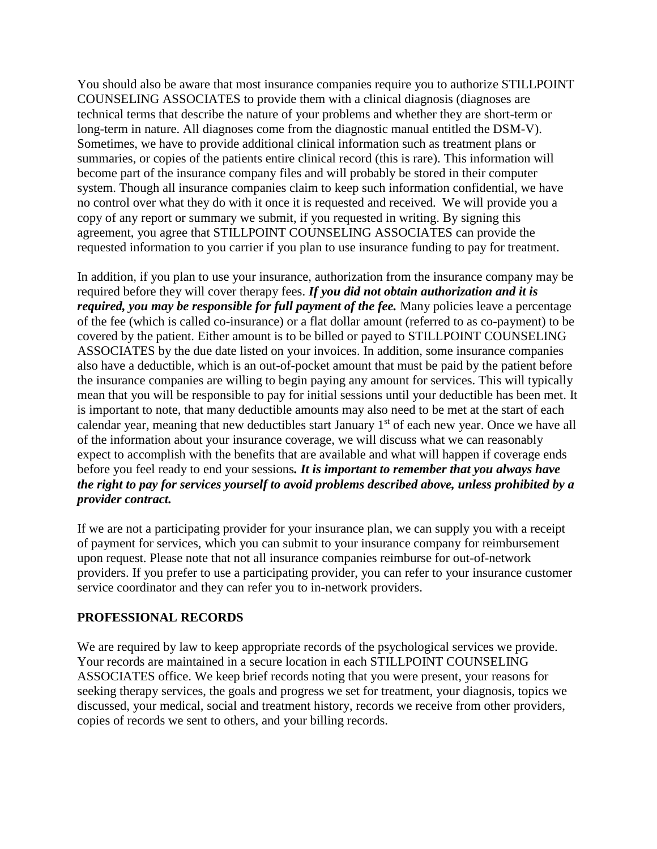You should also be aware that most insurance companies require you to authorize STILLPOINT COUNSELING ASSOCIATES to provide them with a clinical diagnosis (diagnoses are technical terms that describe the nature of your problems and whether they are short-term or long-term in nature. All diagnoses come from the diagnostic manual entitled the DSM-V). Sometimes, we have to provide additional clinical information such as treatment plans or summaries, or copies of the patients entire clinical record (this is rare). This information will become part of the insurance company files and will probably be stored in their computer system. Though all insurance companies claim to keep such information confidential, we have no control over what they do with it once it is requested and received. We will provide you a copy of any report or summary we submit, if you requested in writing. By signing this agreement, you agree that STILLPOINT COUNSELING ASSOCIATES can provide the requested information to you carrier if you plan to use insurance funding to pay for treatment.

In addition, if you plan to use your insurance, authorization from the insurance company may be required before they will cover therapy fees. *If you did not obtain authorization and it is required, you may be responsible for full payment of the fee.* Many policies leave a percentage of the fee (which is called co-insurance) or a flat dollar amount (referred to as co-payment) to be covered by the patient. Either amount is to be billed or payed to STILLPOINT COUNSELING ASSOCIATES by the due date listed on your invoices. In addition, some insurance companies also have a deductible, which is an out-of-pocket amount that must be paid by the patient before the insurance companies are willing to begin paying any amount for services. This will typically mean that you will be responsible to pay for initial sessions until your deductible has been met. It is important to note, that many deductible amounts may also need to be met at the start of each calendar year, meaning that new deductibles start January 1<sup>st</sup> of each new year. Once we have all of the information about your insurance coverage, we will discuss what we can reasonably expect to accomplish with the benefits that are available and what will happen if coverage ends before you feel ready to end your sessions*. It is important to remember that you always have the right to pay for services yourself to avoid problems described above, unless prohibited by a provider contract.* 

If we are not a participating provider for your insurance plan, we can supply you with a receipt of payment for services, which you can submit to your insurance company for reimbursement upon request. Please note that not all insurance companies reimburse for out-of-network providers. If you prefer to use a participating provider, you can refer to your insurance customer service coordinator and they can refer you to in-network providers.

## **PROFESSIONAL RECORDS**

We are required by law to keep appropriate records of the psychological services we provide. Your records are maintained in a secure location in each STILLPOINT COUNSELING ASSOCIATES office. We keep brief records noting that you were present, your reasons for seeking therapy services, the goals and progress we set for treatment, your diagnosis, topics we discussed, your medical, social and treatment history, records we receive from other providers, copies of records we sent to others, and your billing records.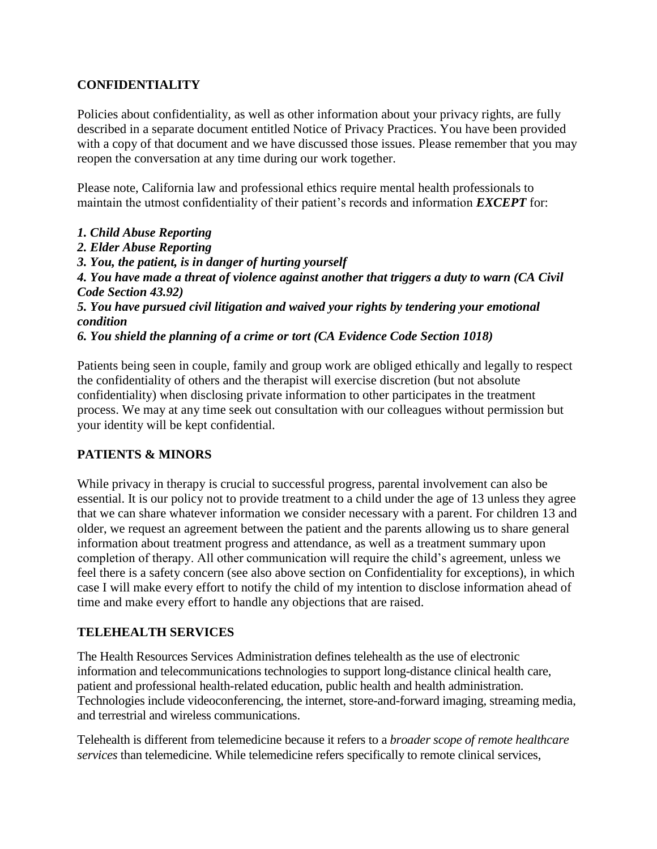## **CONFIDENTIALITY**

Policies about confidentiality, as well as other information about your privacy rights, are fully described in a separate document entitled Notice of Privacy Practices. You have been provided with a copy of that document and we have discussed those issues. Please remember that you may reopen the conversation at any time during our work together.

Please note, California law and professional ethics require mental health professionals to maintain the utmost confidentiality of their patient's records and information *EXCEPT* for:

*1. Child Abuse Reporting 2. Elder Abuse Reporting 3. You, the patient, is in danger of hurting yourself 4. You have made a threat of violence against another that triggers a duty to warn (CA Civil Code Section 43.92) 5. You have pursued civil litigation and waived your rights by tendering your emotional condition 6. You shield the planning of a crime or tort (CA Evidence Code Section 1018)*

Patients being seen in couple, family and group work are obliged ethically and legally to respect the confidentiality of others and the therapist will exercise discretion (but not absolute confidentiality) when disclosing private information to other participates in the treatment process. We may at any time seek out consultation with our colleagues without permission but your identity will be kept confidential.

## **PATIENTS & MINORS**

While privacy in therapy is crucial to successful progress, parental involvement can also be essential. It is our policy not to provide treatment to a child under the age of 13 unless they agree that we can share whatever information we consider necessary with a parent. For children 13 and older, we request an agreement between the patient and the parents allowing us to share general information about treatment progress and attendance, as well as a treatment summary upon completion of therapy. All other communication will require the child's agreement, unless we feel there is a safety concern (see also above section on Confidentiality for exceptions), in which case I will make every effort to notify the child of my intention to disclose information ahead of time and make every effort to handle any objections that are raised.

## **TELEHEALTH SERVICES**

The Health Resources Services Administration defines telehealth as the use of electronic information and telecommunications technologies to support long-distance clinical health care, patient and professional health-related education, public health and health administration. Technologies include videoconferencing, the internet, store-and-forward imaging, streaming media, and terrestrial and wireless communications.

Telehealth is different from telemedicine because it refers to a *broader scope of remote healthcare services* than telemedicine. While telemedicine refers specifically to remote clinical services,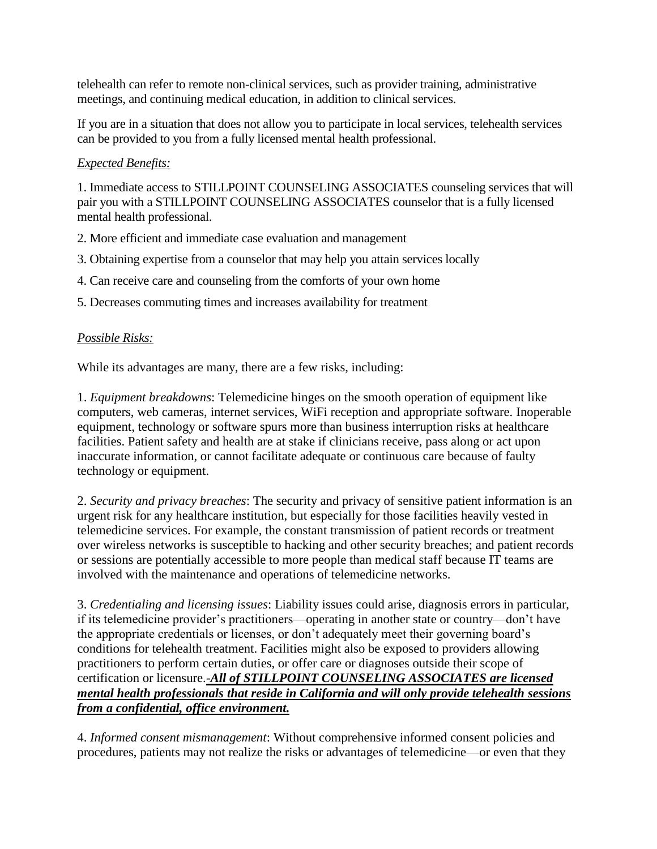telehealth can refer to remote non-clinical services, such as provider training, administrative meetings, and continuing medical education, in addition to clinical services.

If you are in a situation that does not allow you to participate in local services, telehealth services can be provided to you from a fully licensed mental health professional.

## *Expected Benefits:*

1. Immediate access to STILLPOINT COUNSELING ASSOCIATES counseling services that will pair you with a STILLPOINT COUNSELING ASSOCIATES counselor that is a fully licensed mental health professional.

- 2. More efficient and immediate case evaluation and management
- 3. Obtaining expertise from a counselor that may help you attain services locally
- 4. Can receive care and counseling from the comforts of your own home
- 5. Decreases commuting times and increases availability for treatment

## *Possible Risks:*

While its advantages are many, there are a few risks, including:

1. *Equipment breakdowns*: Telemedicine hinges on the smooth operation of equipment like computers, web cameras, internet services, WiFi reception and appropriate software. Inoperable equipment, technology or software spurs more than business interruption risks at healthcare facilities. Patient safety and health are at stake if clinicians receive, pass along or act upon inaccurate information, or cannot facilitate adequate or continuous care because of faulty technology or equipment.

2. *Security and privacy breaches*: The security and privacy of sensitive patient information is an urgent risk for any healthcare institution, but especially for those facilities heavily vested in telemedicine services. For example, the constant transmission of patient records or treatment over wireless networks is susceptible to hacking and other security breaches; and patient records or sessions are potentially accessible to more people than medical staff because IT teams are involved with the maintenance and operations of telemedicine networks.

3. *Credentialing and licensing issues*: Liability issues could arise, diagnosis errors in particular, if its telemedicine provider's practitioners—operating in another state or country—don't have the appropriate credentials or licenses, or don't adequately meet their governing board's conditions for telehealth treatment. Facilities might also be exposed to providers allowing practitioners to perform certain duties, or offer care or diagnoses outside their scope of certification or licensure.*-All of STILLPOINT COUNSELING ASSOCIATES are licensed mental health professionals that reside in California and will only provide telehealth sessions from a confidential, office environment.*

4. *Informed consent mismanagement*: Without comprehensive informed consent policies and procedures, patients may not realize the risks or advantages of telemedicine—or even that they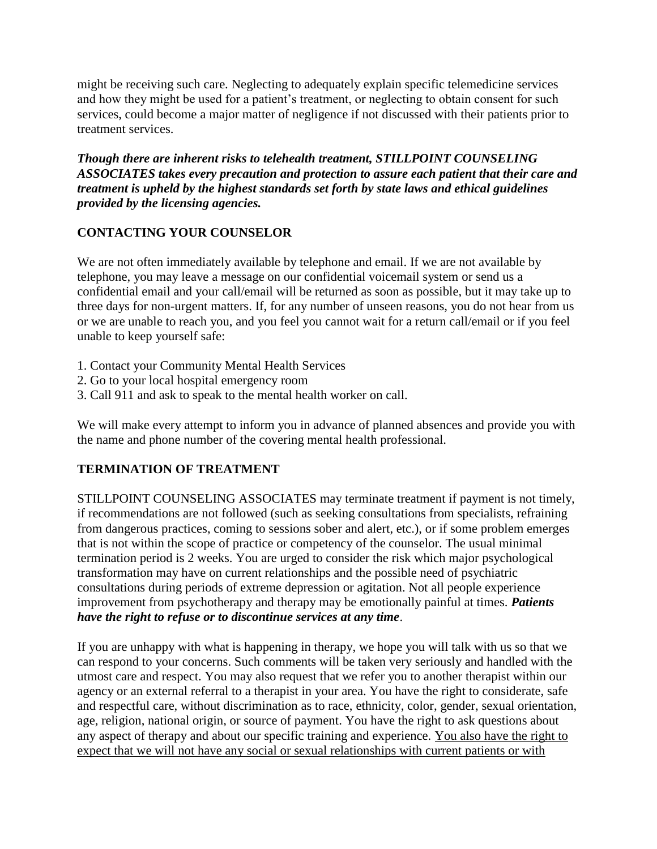might be receiving such care. Neglecting to adequately explain specific telemedicine services and how they might be used for a patient's treatment, or neglecting to obtain consent for such services, could become a major matter of negligence if not discussed with their patients prior to treatment services.

*Though there are inherent risks to telehealth treatment, STILLPOINT COUNSELING ASSOCIATES takes every precaution and protection to assure each patient that their care and treatment is upheld by the highest standards set forth by state laws and ethical guidelines provided by the licensing agencies.* 

## **CONTACTING YOUR COUNSELOR**

We are not often immediately available by telephone and email. If we are not available by telephone, you may leave a message on our confidential voicemail system or send us a confidential email and your call/email will be returned as soon as possible, but it may take up to three days for non-urgent matters. If, for any number of unseen reasons, you do not hear from us or we are unable to reach you, and you feel you cannot wait for a return call/email or if you feel unable to keep yourself safe:

- 1. Contact your Community Mental Health Services
- 2. Go to your local hospital emergency room
- 3. Call 911 and ask to speak to the mental health worker on call.

We will make every attempt to inform you in advance of planned absences and provide you with the name and phone number of the covering mental health professional.

## **TERMINATION OF TREATMENT**

STILLPOINT COUNSELING ASSOCIATES may terminate treatment if payment is not timely, if recommendations are not followed (such as seeking consultations from specialists, refraining from dangerous practices, coming to sessions sober and alert, etc.), or if some problem emerges that is not within the scope of practice or competency of the counselor. The usual minimal termination period is 2 weeks. You are urged to consider the risk which major psychological transformation may have on current relationships and the possible need of psychiatric consultations during periods of extreme depression or agitation. Not all people experience improvement from psychotherapy and therapy may be emotionally painful at times. *Patients have the right to refuse or to discontinue services at any time*.

If you are unhappy with what is happening in therapy, we hope you will talk with us so that we can respond to your concerns. Such comments will be taken very seriously and handled with the utmost care and respect. You may also request that we refer you to another therapist within our agency or an external referral to a therapist in your area. You have the right to considerate, safe and respectful care, without discrimination as to race, ethnicity, color, gender, sexual orientation, age, religion, national origin, or source of payment. You have the right to ask questions about any aspect of therapy and about our specific training and experience. You also have the right to expect that we will not have any social or sexual relationships with current patients or with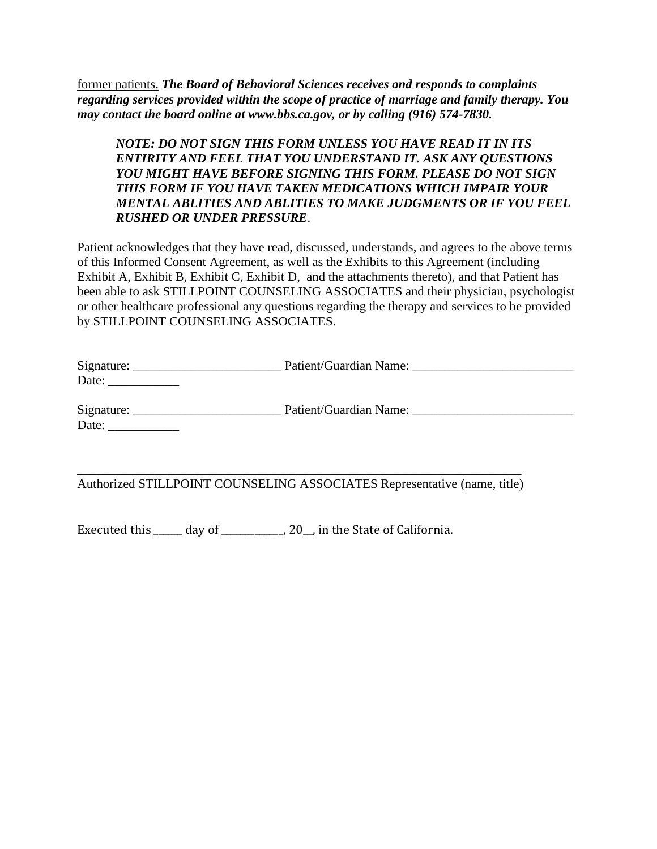former patients. *The Board of Behavioral Sciences receives and responds to complaints regarding services provided within the scope of practice of marriage and family therapy. You may contact the board online at www.bbs.ca.gov, or by calling (916) 574-7830.*

## *NOTE: DO NOT SIGN THIS FORM UNLESS YOU HAVE READ IT IN ITS ENTIRITY AND FEEL THAT YOU UNDERSTAND IT. ASK ANY QUESTIONS YOU MIGHT HAVE BEFORE SIGNING THIS FORM. PLEASE DO NOT SIGN THIS FORM IF YOU HAVE TAKEN MEDICATIONS WHICH IMPAIR YOUR MENTAL ABLITIES AND ABLITIES TO MAKE JUDGMENTS OR IF YOU FEEL RUSHED OR UNDER PRESSURE*.

Patient acknowledges that they have read, discussed, understands, and agrees to the above terms of this Informed Consent Agreement, as well as the Exhibits to this Agreement (including Exhibit A, Exhibit B, Exhibit C, Exhibit D, and the attachments thereto), and that Patient has been able to ask STILLPOINT COUNSELING ASSOCIATES and their physician, psychologist or other healthcare professional any questions regarding the therapy and services to be provided by STILLPOINT COUNSELING ASSOCIATES.

| Signature: | Patient/Guardian Name: |  |
|------------|------------------------|--|
| Date:      |                        |  |
| Signature: | Patient/Guardian Name: |  |
| Date:      |                        |  |

\_\_\_\_\_\_\_\_\_\_\_\_\_\_\_\_\_\_\_\_\_\_\_\_\_\_\_\_\_\_\_\_\_\_\_\_\_\_\_\_\_\_\_\_\_\_\_\_\_\_\_\_\_\_\_\_\_\_\_\_\_\_\_\_\_\_\_\_\_

Authorized STILLPOINT COUNSELING ASSOCIATES Representative (name, title)

Executed this \_\_\_\_\_\_ day of \_\_\_\_\_\_\_\_\_\_\_, 20\_, in the State of California.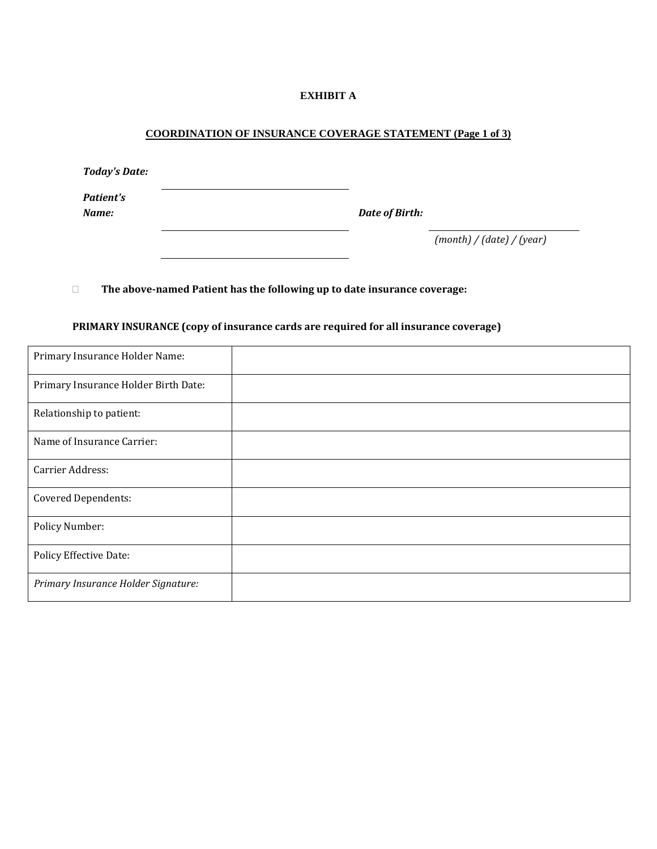#### **EXHIBIT A**

#### **COORDINATION OF INSURANCE COVERAGE STATEMENT (Page 1 of 3)**

| <b>Today's Date:</b>      |                |                           |
|---------------------------|----------------|---------------------------|
| <b>Patient's</b><br>Name: | Date of Birth: |                           |
|                           |                | (month) / (date) / (year) |

**The above-named Patient has the following up to date insurance coverage:**

# Primary Insurance Holder Name: Primary Insurance Holder Birth Date: Relationship to patient: Name of Insurance Carrier: Carrier Address: Covered Dependents: Policy Number: Policy Effective Date: *Primary Insurance Holder Signature:*

#### **PRIMARY INSURANCE (copy of insurance cards are required for all insurance coverage)**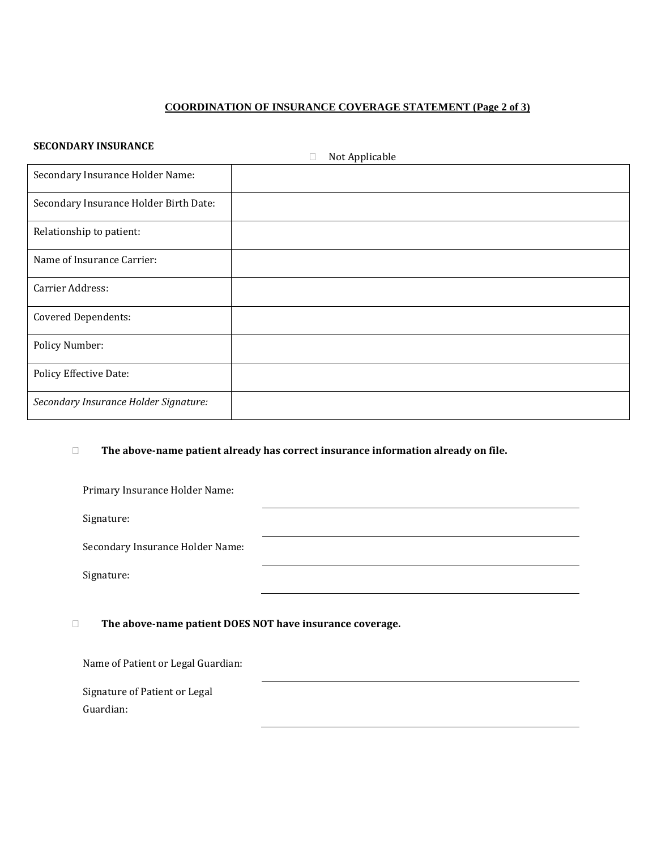### **COORDINATION OF INSURANCE COVERAGE STATEMENT (Page 2 of 3)**

#### **SECONDARY INSURANCE**

| JEGONDARI INJORANGE                    | Not Applicable<br>$\Box$ |
|----------------------------------------|--------------------------|
| Secondary Insurance Holder Name:       |                          |
| Secondary Insurance Holder Birth Date: |                          |
| Relationship to patient:               |                          |
| Name of Insurance Carrier:             |                          |
| Carrier Address:                       |                          |
| <b>Covered Dependents:</b>             |                          |
| Policy Number:                         |                          |
| <b>Policy Effective Date:</b>          |                          |
| Secondary Insurance Holder Signature:  |                          |

#### **The above-name patient already has correct insurance information already on file.**

| Primary Insurance Holder Name:   |  |
|----------------------------------|--|
| Signature:                       |  |
| Secondary Insurance Holder Name: |  |
| Signature:                       |  |
|                                  |  |

#### **The above-name patient DOES NOT have insurance coverage.**

Name of Patient or Legal Guardian:

Signature of Patient or Legal Guardian: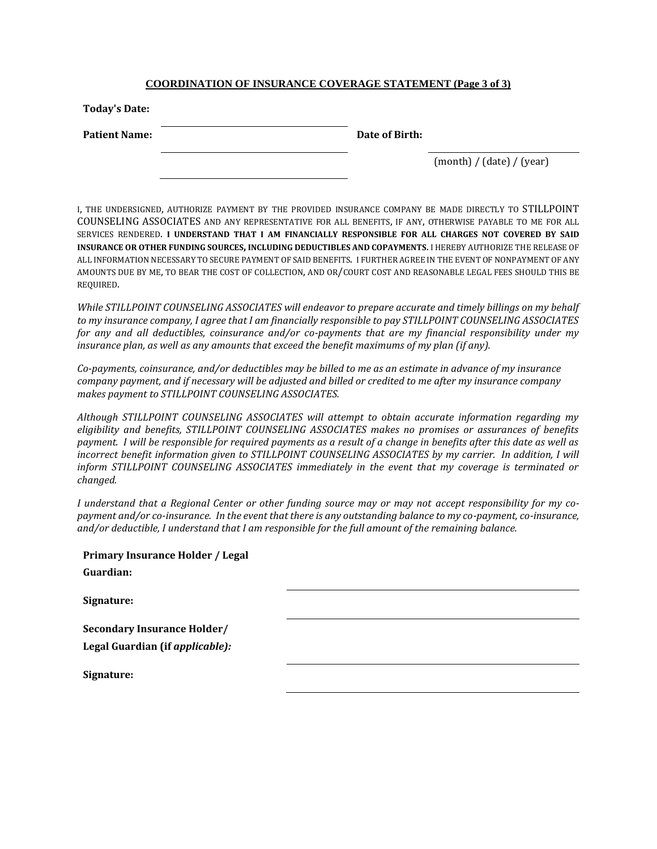#### **COORDINATION OF INSURANCE COVERAGE STATEMENT (Page 3 of 3)**

| <b>Today's Date:</b> |                |                           |
|----------------------|----------------|---------------------------|
| <b>Patient Name:</b> | Date of Birth: |                           |
|                      |                | (month) / (date) / (year) |

I, THE UNDERSIGNED, AUTHORIZE PAYMENT BY THE PROVIDED INSURANCE COMPANY BE MADE DIRECTLY TO STILLPOINT COUNSELING ASSOCIATES AND ANY REPRESENTATIVE FOR ALL BENEFITS, IF ANY, OTHERWISE PAYABLE TO ME FOR ALL SERVICES RENDERED. **I UNDERSTAND THAT I AM FINANCIALLY RESPONSIBLE FOR ALL CHARGES NOT COVERED BY SAID INSURANCE OR OTHER FUNDING SOURCES, INCLUDING DEDUCTIBLES AND COPAYMENTS**. I HEREBY AUTHORIZE THE RELEASE OF ALL INFORMATION NECESSARY TO SECURE PAYMENT OF SAID BENEFITS. I FURTHER AGREE IN THE EVENT OF NONPAYMENT OF ANY AMOUNTS DUE BY ME, TO BEAR THE COST OF COLLECTION, AND OR/COURT COST AND REASONABLE LEGAL FEES SHOULD THIS BE REQUIRED.

*While STILLPOINT COUNSELING ASSOCIATES will endeavor to prepare accurate and timely billings on my behalf to my insurance company, I agree that I am financially responsible to pay STILLPOINT COUNSELING ASSOCIATES for any and all deductibles, coinsurance and/or co-payments that are my financial responsibility under my insurance plan, as well as any amounts that exceed the benefit maximums of my plan (if any).*

*Co-payments, coinsurance, and/or deductibles may be billed to me as an estimate in advance of my insurance company payment, and if necessary will be adjusted and billed or credited to me after my insurance company makes payment to STILLPOINT COUNSELING ASSOCIATES.*

*Although STILLPOINT COUNSELING ASSOCIATES will attempt to obtain accurate information regarding my eligibility and benefits, STILLPOINT COUNSELING ASSOCIATES makes no promises or assurances of benefits payment. I will be responsible for required payments as a result of a change in benefits after this date as well as incorrect benefit information given to STILLPOINT COUNSELING ASSOCIATES by my carrier. In addition, I will inform STILLPOINT COUNSELING ASSOCIATES immediately in the event that my coverage is terminated or changed.*

*I understand that a Regional Center or other funding source may or may not accept responsibility for my copayment and/or co-insurance. In the event that there is any outstanding balance to my co-payment, co-insurance, and/or deductible, I understand that I am responsible for the full amount of the remaining balance.*

| Primary Insurance Holder / Legal   |  |
|------------------------------------|--|
| Guardian:                          |  |
| Signature:                         |  |
| <b>Secondary Insurance Holder/</b> |  |
| Legal Guardian (if applicable):    |  |
| Signature:                         |  |
|                                    |  |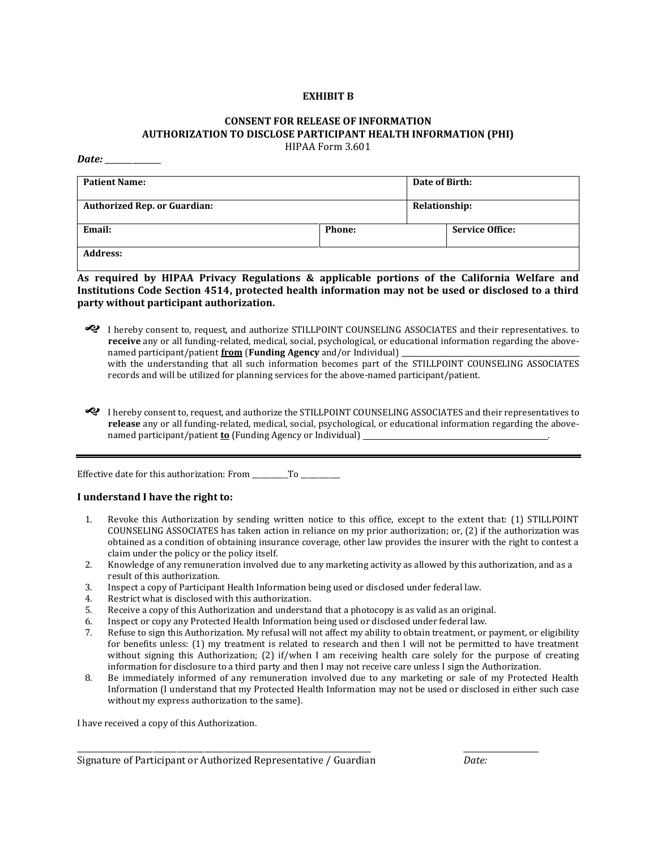#### **EXHIBIT B**

#### **CONSENT FOR RELEASE OF INFORMATION AUTHORIZATION TO DISCLOSE PARTICIPANT HEALTH INFORMATION (PHI)** HIPAA Form 3.601

*Date:* \_\_\_\_\_\_\_\_\_\_\_\_\_\_

| <b>Patient Name:</b>                |               | Date of Birth: |                        |
|-------------------------------------|---------------|----------------|------------------------|
| <b>Authorized Rep. or Guardian:</b> |               | Relationship:  |                        |
| Email:                              | <b>Phone:</b> |                | <b>Service Office:</b> |
| <b>Address:</b>                     |               |                |                        |

**As required by HIPAA Privacy Regulations & applicable portions of the California Welfare and Institutions Code Section 4514, protected health information may not be used or disclosed to a third party without participant authorization.**

 I hereby consent to, request, and authorize STILLPOINT COUNSELING ASSOCIATES and their representatives. to **receive** any or all funding-related, medical, social, psychological, or educational information regarding the abovenamed participant/patient **from** (**Funding Agency** and/or Individual)

with the understanding that all such information becomes part of the STILLPOINT COUNSELING ASSOCIATES records and will be utilized for planning services for the above-named participant/patient.

 I hereby consent to, request, and authorize the STILLPOINT COUNSELING ASSOCIATES and their representatives to **release** any or all funding-related, medical, social, psychological, or educational information regarding the abovenamed participant/patient **to** (Funding Agency or Individual) .

Effective date for this authorization: From \_\_\_\_\_\_\_\_\_\_To \_\_\_\_\_\_\_\_\_\_\_

#### **I understand I have the right to:**

- 1. Revoke this Authorization by sending written notice to this office, except to the extent that: (1) STILLPOINT COUNSELING ASSOCIATES has taken action in reliance on my prior authorization; or, (2) if the authorization was obtained as a condition of obtaining insurance coverage, other law provides the insurer with the right to contest a claim under the policy or the policy itself.
- 2. Knowledge of any remuneration involved due to any marketing activity as allowed by this authorization, and as a result of this authorization.
- 3. Inspect a copy of Participant Health Information being used or disclosed under federal law.
- 4. Restrict what is disclosed with this authorization.
- 5. Receive a copy of this Authorization and understand that a photocopy is as valid as an original.
- 6. Inspect or copy any Protected Health Information being used or disclosed under federal law.
- 7. Refuse to sign this Authorization. My refusal will not affect my ability to obtain treatment, or payment, or eligibility for benefits unless: (1) my treatment is related to research and then I will not be permitted to have treatment without signing this Authorization; (2) if/when I am receiving health care solely for the purpose of creating information for disclosure to a third party and then I may not receive care unless I sign the Authorization.
- 8. Be immediately informed of any remuneration involved due to any marketing or sale of my Protected Health Information (I understand that my Protected Health Information may not be used or disclosed in either such case without my express authorization to the same).

\_\_\_\_\_\_\_\_\_\_\_\_\_\_\_\_\_\_\_\_\_\_\_\_\_\_\_\_\_\_\_\_\_\_\_\_\_\_\_\_\_\_\_\_\_\_\_\_\_\_\_\_\_\_\_\_\_\_\_\_\_\_\_\_\_\_\_\_\_\_\_\_\_\_ \_\_\_\_\_\_\_\_\_\_\_\_\_\_\_\_\_\_\_

I have received a copy of this Authorization.

Signature of Participant or Authorized Representative / Guardian *Date:*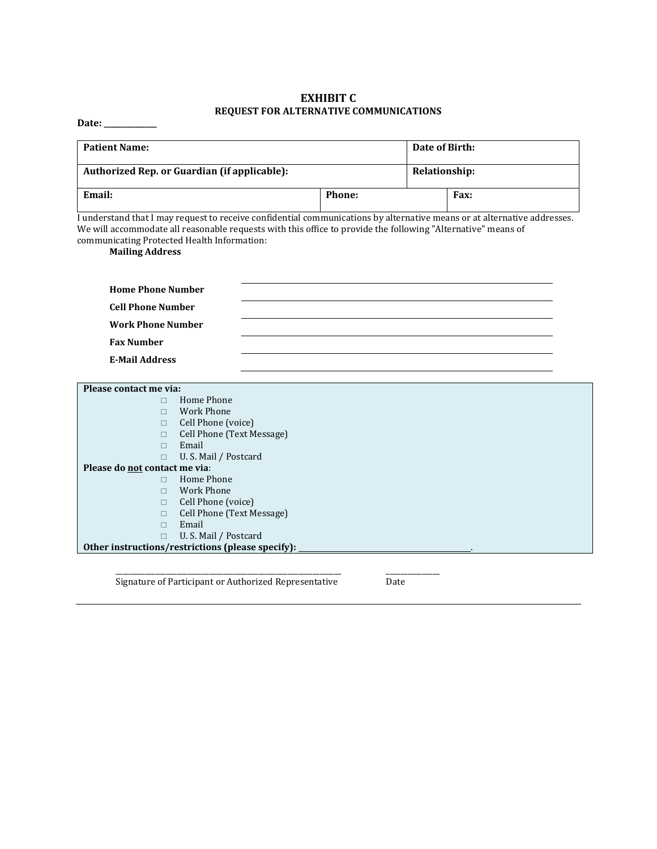#### **EXHIBIT C REQUEST FOR ALTERNATIVE COMMUNICATIONS**

**Date: \_\_\_\_\_\_\_\_\_\_\_\_\_\_**

| <b>Patient Name:</b>                         |               | Date of Birth: |      |
|----------------------------------------------|---------------|----------------|------|
| Authorized Rep. or Guardian (if applicable): |               | Relationship:  |      |
| Email:                                       | <b>Phone:</b> |                | Fax: |

I understand that I may request to receive confidential communications by alternative means or at alternative addresses. We will accommodate all reasonable requests with this office to provide the following "Alternative" means of communicating Protected Health Information:

**Mailing Address**

| <b>Home Phone Number</b> |  |
|--------------------------|--|
| <b>Cell Phone Number</b> |  |
| <b>Work Phone Number</b> |  |
| <b>Fax Number</b>        |  |
| <b>E-Mail Address</b>    |  |

| Please contact me via:        |                                                   |
|-------------------------------|---------------------------------------------------|
|                               | Home Phone                                        |
|                               | Work Phone                                        |
| $\Box$                        | Cell Phone (voice)                                |
|                               | Cell Phone (Text Message)                         |
|                               | Email                                             |
|                               | U.S. Mail / Postcard                              |
| Please do not contact me via: |                                                   |
|                               | Home Phone                                        |
|                               | Work Phone                                        |
| $\Box$                        | Cell Phone (voice)                                |
|                               | Cell Phone (Text Message)                         |
|                               | Email                                             |
|                               | U.S. Mail / Postcard                              |
|                               | Other instructions/restrictions (please specify): |

Signature of Participant or Authorized RepresentativeDate

\_\_\_\_\_\_\_\_\_\_\_\_\_\_\_\_\_\_\_\_\_\_\_\_\_\_\_\_\_\_\_\_\_\_\_\_\_\_\_\_\_\_\_\_\_\_\_\_\_\_\_\_\_\_\_\_\_\_\_\_\_\_\_ \_\_\_\_\_\_\_\_\_\_\_\_\_\_\_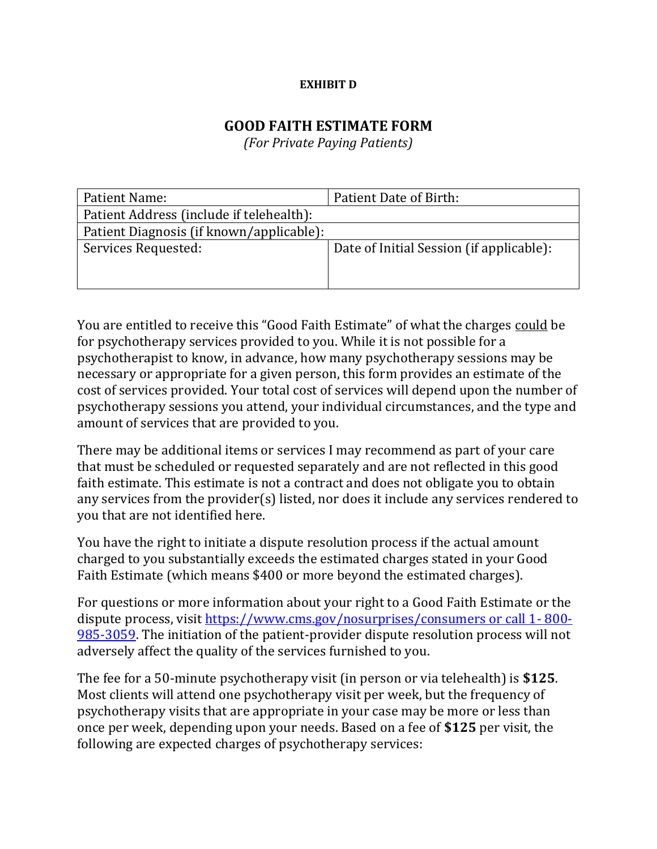## **EXHIBIT D**

# **GOOD FAITH ESTIMATE FORM**

*(For Private Paying Patients)*

| Patient Name:                            | Patient Date of Birth:                   |
|------------------------------------------|------------------------------------------|
| Patient Address (include if telehealth): |                                          |
| Patient Diagnosis (if known/applicable): |                                          |
| Services Requested:                      | Date of Initial Session (if applicable): |

You are entitled to receive this "Good Faith Estimate" of what the charges could be for psychotherapy services provided to you. While it is not possible for a psychotherapist to know, in advance, how many psychotherapy sessions may be necessary or appropriate for a given person, this form provides an estimate of the cost of services provided. Your total cost of services will depend upon the number of psychotherapy sessions you attend, your individual circumstances, and the type and amount of services that are provided to you.

There may be additional items or services I may recommend as part of your care that must be scheduled or requested separately and are not reflected in this good faith estimate. This estimate is not a contract and does not obligate you to obtain any services from the provider(s) listed, nor does it include any services rendered to you that are not identified here.

You have the right to initiate a dispute resolution process if the actual amount charged to you substantially exceeds the estimated charges stated in your Good Faith Estimate (which means \$400 or more beyond the estimated charges).

For questions or more information about your right to a Good Faith Estimate or the dispute process, visit [https://www.cms.gov/nosurprises/consumers or call 1-](https://www.cms.gov/nosurprises/consumers%20or%20call%201-%20800-985-3059) 800- [985-3059.](https://www.cms.gov/nosurprises/consumers%20or%20call%201-%20800-985-3059) The initiation of the patient-provider dispute resolution process will not adversely affect the quality of the services furnished to you.

The fee for a 50-minute psychotherapy visit (in person or via telehealth) is **\$125**. Most clients will attend one psychotherapy visit per week, but the frequency of psychotherapy visits that are appropriate in your case may be more or less than once per week, depending upon your needs. Based on a fee of **\$125** per visit, the following are expected charges of psychotherapy services: